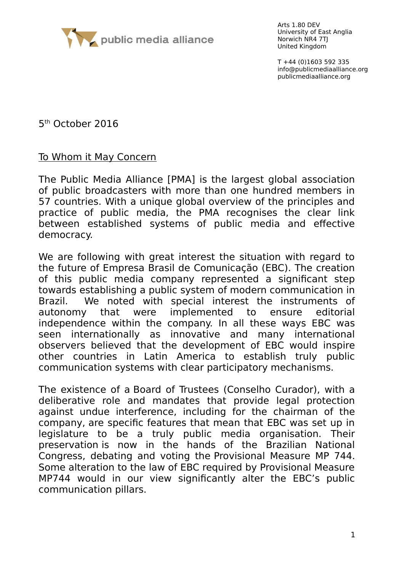

Arts 1.80 DEV University of East Anglia Norwich NR4 7TJ United Kingdom

T +44 (0)1603 592 335 info@publicmediaalliance.org publicmediaalliance.org

5<sup>th</sup> October 2016

## To Whom it May Concern

The Public Media Alliance [PMA] is the largest global association of public broadcasters with more than one hundred members in 57 countries. With a unique global overview of the principles and practice of public media, the PMA recognises the clear link between established systems of public media and effective democracy.

We are following with great interest the situation with regard to the future of Empresa Brasil de Comunicação (EBC). The creation of this public media company represented a significant step towards establishing a public system of modern communication in Brazil. We noted with special interest the instruments of autonomy that were implemented to ensure editorial independence within the company. In all these ways EBC was seen internationally as innovative and many international observers believed that the development of EBC would inspire other countries in Latin America to establish truly public communication systems with clear participatory mechanisms.

The existence of a Board of Trustees (Conselho Curador), with a deliberative role and mandates that provide legal protection against undue interference, including for the chairman of the company, are specific features that mean that EBC was set up in legislature to be a truly public media organisation. Their preservation is now in the hands of the Brazilian National Congress, debating and voting the Provisional Measure MP 744. Some alteration to the law of EBC required by Provisional Measure MP744 would in our view significantly alter the EBC's public communication pillars.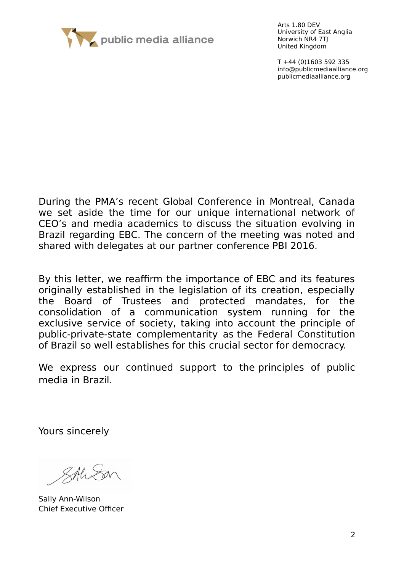

Arts 1.80 DEV University of East Anglia Norwich NR4 7TJ United Kingdom

T +44 (0)1603 592 335 info@publicmediaalliance.org publicmediaalliance.org

During the PMA's recent Global Conference in Montreal, Canada we set aside the time for our unique international network of CEO's and media academics to discuss the situation evolving in Brazil regarding EBC. The concern of the meeting was noted and shared with delegates at our partner conference PBI 2016.

By this letter, we reaffirm the importance of EBC and its features originally established in the legislation of its creation, especially the Board of Trustees and protected mandates, for the consolidation of a communication system running for the exclusive service of society, taking into account the principle of public-private-state complementarity as the Federal Constitution of Brazil so well establishes for this crucial sector for democracy.

We express our continued support to the principles of public media in Brazil.

Yours sincerely

SAWE

Sally Ann-Wilson Chief Executive Officer